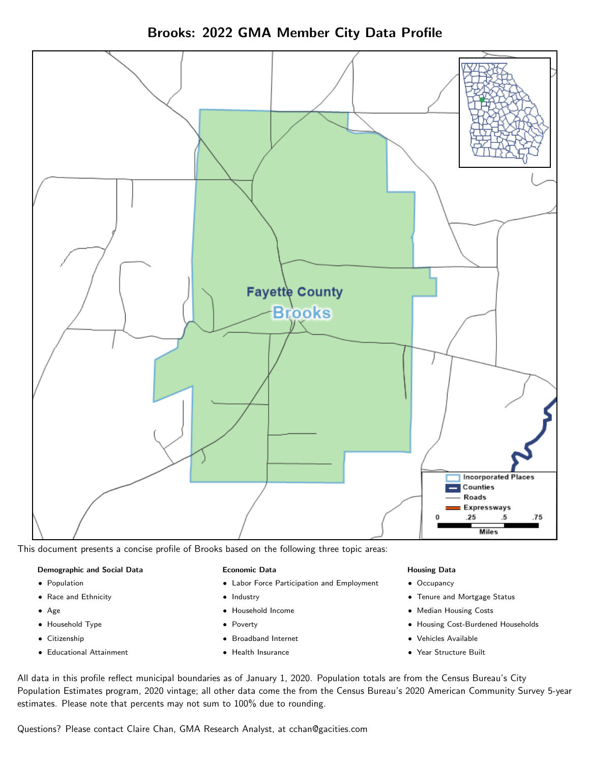Brooks: 2022 GMA Member City Data Profile



This document presents a concise profile of Brooks based on the following three topic areas:

### Demographic and Social Data

- **•** Population
- Race and Ethnicity
- Age
- Household Type
- **Citizenship**
- Educational Attainment

### Economic Data

- Labor Force Participation and Employment
- Industry
- Household Income
- Poverty
- Broadband Internet
- Health Insurance

### Housing Data

- Occupancy
- Tenure and Mortgage Status
- Median Housing Costs
- Housing Cost-Burdened Households
- Vehicles Available
- Year Structure Built

All data in this profile reflect municipal boundaries as of January 1, 2020. Population totals are from the Census Bureau's City Population Estimates program, 2020 vintage; all other data come the from the Census Bureau's 2020 American Community Survey 5-year estimates. Please note that percents may not sum to 100% due to rounding.

Questions? Please contact Claire Chan, GMA Research Analyst, at [cchan@gacities.com.](mailto:cchan@gacities.com)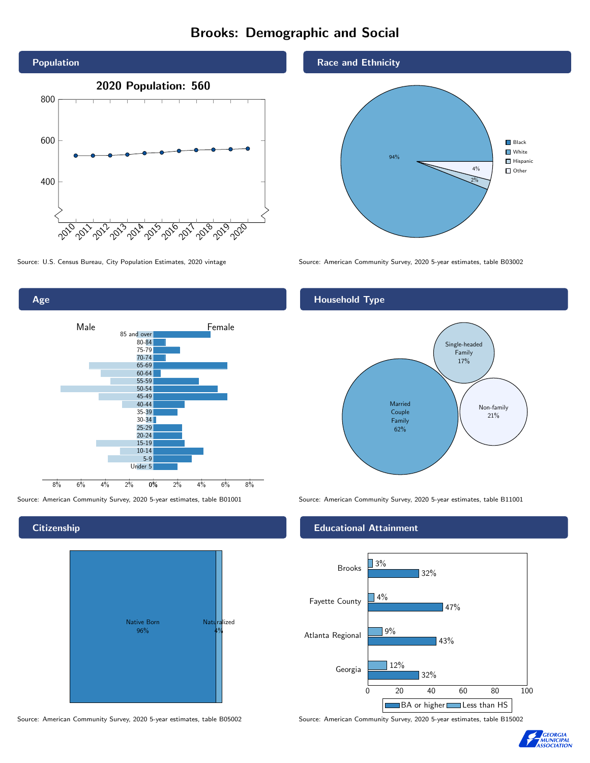# Brooks: Demographic and Social





## **Citizenship**



Source: American Community Survey, 2020 5-year estimates, table B05002 Source: American Community Survey, 2020 5-year estimates, table B15002

### Race and Ethnicity



Source: U.S. Census Bureau, City Population Estimates, 2020 vintage Source: American Community Survey, 2020 5-year estimates, table B03002

## Household Type



Source: American Community Survey, 2020 5-year estimates, table B01001 Source: American Community Survey, 2020 5-year estimates, table B11001

### Educational Attainment



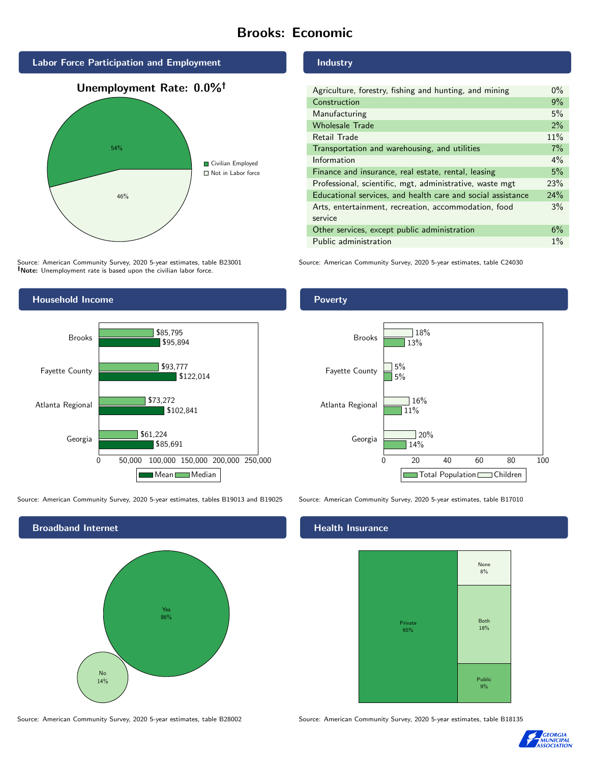# Brooks: Economic



Source: American Community Survey, 2020 5-year estimates, table B23001 Note: Unemployment rate is based upon the civilian labor force.

## Household Income Fayette County Brooks \$95,894 \$93,777 \$85,795



Source: American Community Survey, 2020 5-year estimates, tables B19013 and B19025 Source: American Community Survey, 2020 5-year estimates, table B17010



### Industry

| Agriculture, forestry, fishing and hunting, and mining      | $0\%$ |
|-------------------------------------------------------------|-------|
| Construction                                                | 9%    |
| Manufacturing                                               | 5%    |
| <b>Wholesale Trade</b>                                      | 2%    |
| Retail Trade                                                | 11%   |
| Transportation and warehousing, and utilities               | 7%    |
| Information                                                 | $4\%$ |
| Finance and insurance, real estate, rental, leasing         | 5%    |
| Professional, scientific, mgt, administrative, waste mgt    | 23%   |
| Educational services, and health care and social assistance | 24%   |
| Arts, entertainment, recreation, accommodation, food        | 3%    |
| service                                                     |       |
| Other services, except public administration                | 6%    |
| Public administration                                       | $1\%$ |

Source: American Community Survey, 2020 5-year estimates, table C24030

## Poverty



## **Health Insurance**



Source: American Community Survey, 2020 5-year estimates, table B28002 Source: American Community Survey, 2020 5-year estimates, table B18135